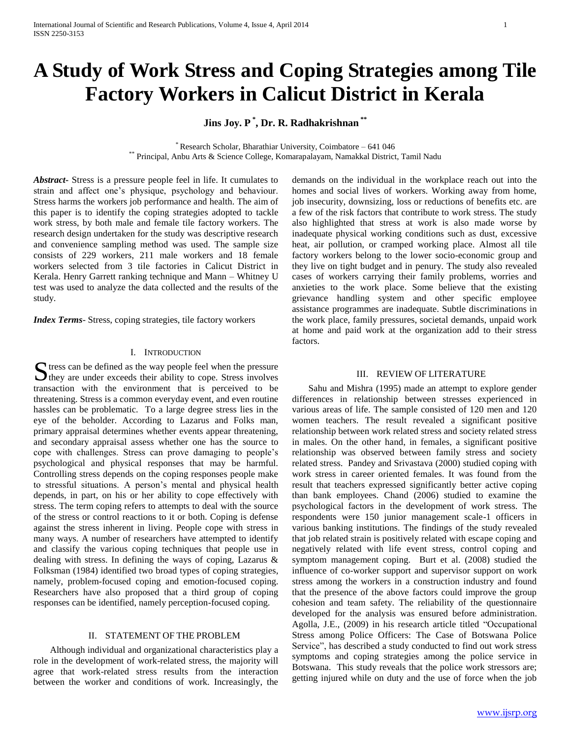# **A Study of Work Stress and Coping Strategies among Tile Factory Workers in Calicut District in Kerala**

**Jins Joy. P \* , Dr. R. Radhakrishnan \*\***

\* Research Scholar, Bharathiar University, Coimbatore – 641 046 \*\* Principal, Anbu Arts & Science College, Komarapalayam, Namakkal District, Tamil Nadu

*Abstract***-** Stress is a pressure people feel in life. It cumulates to strain and affect one's physique, psychology and behaviour. Stress harms the workers job performance and health. The aim of this paper is to identify the coping strategies adopted to tackle work stress, by both male and female tile factory workers. The research design undertaken for the study was descriptive research and convenience sampling method was used. The sample size consists of 229 workers, 211 male workers and 18 female workers selected from 3 tile factories in Calicut District in Kerala. Henry Garrett ranking technique and Mann – Whitney U test was used to analyze the data collected and the results of the study.

*Index Terms*- Stress, coping strategies, tile factory workers

#### I. INTRODUCTION

S tress can be defined as the way people feel when the pressure they are under exceeds their ability to cope. Stress involves  $\bigcup$  they are under exceeds their ability to cope. Stress involves transaction with the environment that is perceived to be threatening. Stress is a common everyday event, and even routine hassles can be problematic. To a large degree stress lies in the eye of the beholder. According to Lazarus and Folks man, primary appraisal determines whether events appear threatening, and secondary appraisal assess whether one has the source to cope with challenges. Stress can prove damaging to people's psychological and physical responses that may be harmful. Controlling stress depends on the coping responses people make to stressful situations. A person's mental and physical health depends, in part, on his or her ability to cope effectively with stress. The term coping refers to attempts to deal with the source of the stress or control reactions to it or both. Coping is defense against the stress inherent in living. People cope with stress in many ways. A number of researchers have attempted to identify and classify the various coping techniques that people use in dealing with stress. In defining the ways of coping, Lazarus & Folksman (1984) identified two broad types of coping strategies, namely, problem-focused coping and emotion-focused coping. Researchers have also proposed that a third group of coping responses can be identified, namely perception-focused coping.

## II. STATEMENT OF THE PROBLEM

 Although individual and organizational characteristics play a role in the development of work-related stress, the majority will agree that work-related stress results from the interaction between the worker and conditions of work. Increasingly, the demands on the individual in the workplace reach out into the homes and social lives of workers. Working away from home, job insecurity, downsizing, loss or reductions of benefits etc. are a few of the risk factors that contribute to work stress. The study also highlighted that stress at work is also made worse by inadequate physical working conditions such as dust, excessive heat, air pollution, or cramped working place. Almost all tile factory workers belong to the lower socio-economic group and they live on tight budget and in penury. The study also revealed cases of workers carrying their family problems, worries and anxieties to the work place. Some believe that the existing grievance handling system and other specific employee assistance programmes are inadequate. Subtle discriminations in the work place, family pressures, societal demands, unpaid work at home and paid work at the organization add to their stress factors.

#### III. REVIEW OF LITERATURE

 Sahu and Mishra (1995) made an attempt to explore gender differences in relationship between stresses experienced in various areas of life. The sample consisted of 120 men and 120 women teachers. The result revealed a significant positive relationship between work related stress and society related stress in males. On the other hand, in females, a significant positive relationship was observed between family stress and society related stress.Pandey and Srivastava (2000) studied coping with work stress in career oriented females. It was found from the result that teachers expressed significantly better active coping than bank employees. Chand (2006) studied to examine the psychological factors in the development of work stress. The respondents were 150 junior management scale-1 officers in various banking institutions. The findings of the study revealed that job related strain is positively related with escape coping and negatively related with life event stress, control coping and symptom management coping. Burt et al. (2008) studied the influence of co-worker support and supervisor support on work stress among the workers in a construction industry and found that the presence of the above factors could improve the group cohesion and team safety. The reliability of the questionnaire developed for the analysis was ensured before administration. Agolla, J.E., (2009) in his research article titled "Occupational Stress among Police Officers: The Case of Botswana Police Service", has described a study conducted to find out work stress symptoms and coping strategies among the police service in Botswana. This study reveals that the police work stressors are; getting injured while on duty and the use of force when the job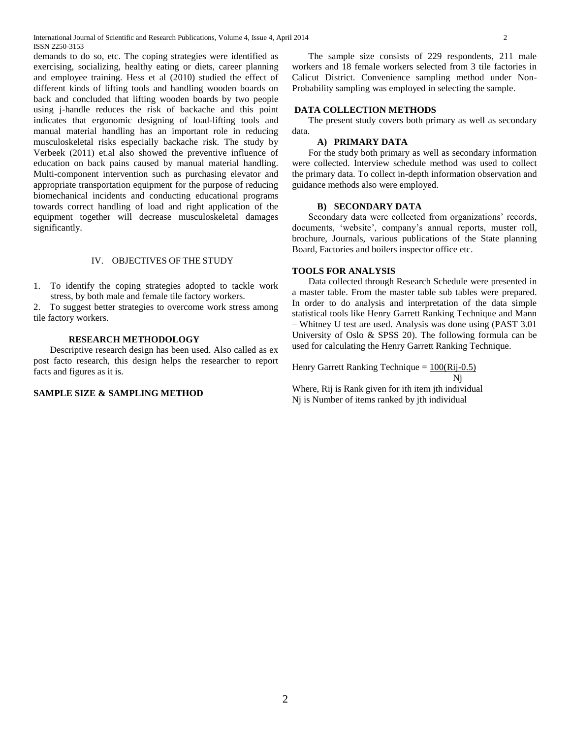demands to do so, etc. The coping strategies were identified as exercising, socializing, healthy eating or diets, career planning and employee training. Hess et al (2010) studied the effect of different kinds of lifting tools and handling wooden boards on back and concluded that lifting wooden boards by two people using j-handle reduces the risk of backache and this point indicates that ergonomic designing of load-lifting tools and manual material handling has an important role in reducing musculoskeletal risks especially backache risk. The study by Verbeek (2011) et.al also showed the preventive influence of education on back pains caused by manual material handling. Multi-component intervention such as purchasing elevator and appropriate transportation equipment for the purpose of reducing biomechanical incidents and conducting educational programs towards correct handling of load and right application of the equipment together will decrease musculoskeletal damages significantly.

## IV. OBJECTIVES OF THE STUDY

1. To identify the coping strategies adopted to tackle work stress, by both male and female tile factory workers.

2. To suggest better strategies to overcome work stress among tile factory workers.

## **RESEARCH METHODOLOGY**

 Descriptive research design has been used. Also called as ex post facto research, this design helps the researcher to report facts and figures as it is.

## **SAMPLE SIZE & SAMPLING METHOD**

 The sample size consists of 229 respondents, 211 male workers and 18 female workers selected from 3 tile factories in Calicut District. Convenience sampling method under Non-Probability sampling was employed in selecting the sample.

## **DATA COLLECTION METHODS**

 The present study covers both primary as well as secondary data.

#### **A) PRIMARY DATA**

 For the study both primary as well as secondary information were collected. Interview schedule method was used to collect the primary data. To collect in-depth information observation and guidance methods also were employed.

#### **B) SECONDARY DATA**

 Secondary data were collected from organizations' records, documents, 'website', company's annual reports, muster roll, brochure, Journals, various publications of the State planning Board, Factories and boilers inspector office etc.

### **TOOLS FOR ANALYSIS**

 Data collected through Research Schedule were presented in a master table. From the master table sub tables were prepared. In order to do analysis and interpretation of the data simple statistical tools like Henry Garrett Ranking Technique and Mann – Whitney U test are used. Analysis was done using (PAST 3.01 University of Oslo & SPSS 20). The following formula can be used for calculating the Henry Garrett Ranking Technique.

Henry Garrett Ranking Technique = 100(Rij-0.5) Nj

Where, Rij is Rank given for ith item jth individual Nj is Number of items ranked by jth individual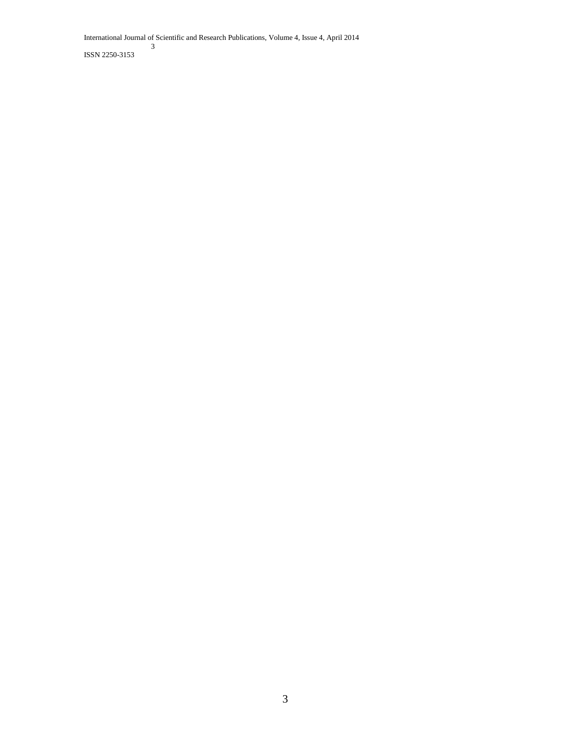International Journal of Scientific and Research Publications, Volume 4, Issue 4, April 2014 3

ISSN 2250-3153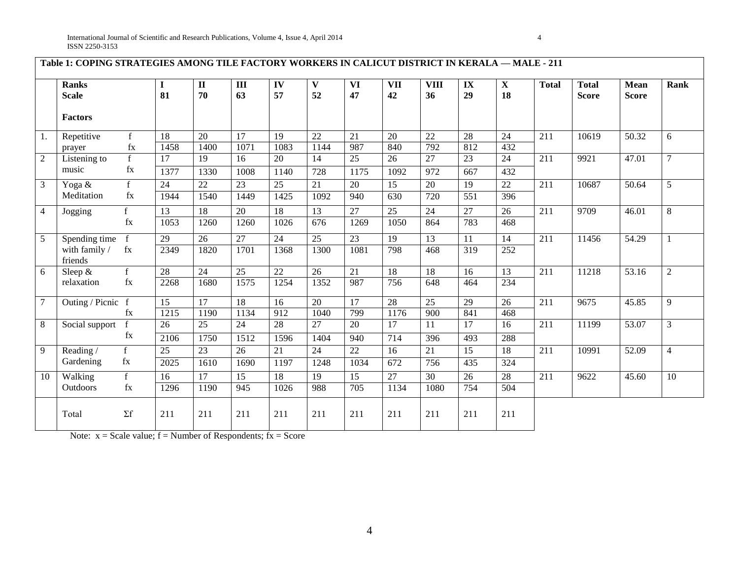| <b>Ranks</b><br><b>Scale</b> |             | $\mathbf I$<br>81 | $\mathbf{I}$<br>70 | III<br>63       | IV<br>57        | $\mathbf{V}$<br>52 | <b>VI</b><br>47 | <b>VII</b><br>42 | <b>VIII</b><br>36 | IX<br>29         | $\mathbf X$<br>18 | <b>Total</b>     | <b>Total</b><br><b>Score</b> | Mean<br><b>Score</b> | Rank           |
|------------------------------|-------------|-------------------|--------------------|-----------------|-----------------|--------------------|-----------------|------------------|-------------------|------------------|-------------------|------------------|------------------------------|----------------------|----------------|
| <b>Factors</b>               |             |                   |                    |                 |                 |                    |                 |                  |                   |                  |                   |                  |                              |                      |                |
| Repetitive<br>1.             | f           | 18                | 20                 | 17              | 19              | 22                 | 21              | 20               | 22                | 28               | 24                | 211              | 10619                        | 50.32                | 6              |
| prayer                       | $f_{X}$     | 1458              | 1400               | 1071            | 1083            | 1144               | 987             | 840              | 792               | 812              | 432               |                  |                              |                      |                |
| Listening to                 | f           | 17                | 19                 | 16              | 20              | 14                 | 25              | 26               | 27                | 23               | 24                | 211              | 9921                         | 47.01                | $\tau$         |
| music                        | fx          | 1377              | 1330               | 1008            | 1140            | 728                | 1175            | 1092             | 972               | 667              | 432               |                  |                              |                      |                |
| Yoga $\&$                    | $\mathbf f$ | 24                | 22                 | 23              | 25              | 21                 | 20              | 15               | 20                | 19               | $22\,$            | 211              | 10687                        | 50.64                | 5              |
| Meditation                   | fx          | 1944              | 1540               | 1449            | 1425            | 1092               | 940             | 630              | 720               | $\overline{551}$ | 396               |                  |                              |                      |                |
| Jogging                      | $\mathbf f$ | 13                | 18                 | 20              | 18              | 13                 | 27              | $\overline{25}$  | $\overline{24}$   | 27               | 26                | $\overline{211}$ | 9709                         | 46.01                | 8              |
|                              | fx          | 1053              | 1260               | 1260            | 1026            | 676                | 1269            | 1050             | 864               | 783              | 468               |                  |                              |                      |                |
| Spending time f              |             | 29                | 26                 | $\overline{27}$ | 24              | $\overline{25}$    | $\overline{23}$ | 19               | 13                | 11               | 14                | $\overline{211}$ | 11456                        | 54.29                |                |
| with family /<br>friends     | fx          | 2349              | 1820               | 1701            | 1368            | 1300               | 1081            | 798              | 468               | 319              | 252               |                  |                              |                      |                |
| Sleep $&$                    | $\mathbf f$ | 28                | 24                 | 25              | $\overline{22}$ | 26                 | 21              | 18               | 18                | 16               | 13                | $\overline{211}$ | 11218                        | 53.16                | $\overline{2}$ |
| relaxation                   | fx          | 2268              | 1680               | 1575            | 1254            | 1352               | 987             | 756              | 648               | 464              | 234               |                  |                              |                      |                |
| Outing / $Picnic$ f          |             | 15                | $\overline{17}$    | $\overline{18}$ | 16              | 20                 | $\overline{17}$ | $\overline{28}$  | $\overline{25}$   | 29               | 26                | 211              | 9675                         | 45.85                | 9              |
|                              | fx          | 1215              | 1190               | 1134            | 912             | 1040               | 799             | 1176             | $\overline{900}$  | 841              | 468               |                  |                              |                      |                |
| Social support               |             | 26                | $\overline{25}$    | 24              | $\overline{28}$ | $\overline{27}$    | 20              | 17               | 11                | $\overline{17}$  | 16                | $\overline{211}$ | 11199                        | 53.07                | 3              |
|                              | fx          | 2106              | 1750               | 1512            | 1596            | 1404               | 940             | 714              | 396               | 493              | 288               |                  |                              |                      |                |
| Reading/                     | $\mathbf f$ | 25                | 23                 | 26              | 21              | 24                 | 22              | 16               | 21                | 15               | 18                | 211              | 10991                        | 52.09                | $\overline{4}$ |
| Gardening                    | $f_{X}$     | 2025              | 1610               | 1690            | 1197            | 1248               | 1034            | 672              | 756               | 435              | $\overline{324}$  |                  |                              |                      |                |
| 10<br>Walking                | $\mathbf f$ | 16                | 17                 | 15              | 18              | 19                 | 15              | 27               | 30                | 26               | 28                | 211              | 9622                         | 45.60                | 10             |
| Outdoors                     | $f_{X}$     | 1296              | 1190               | 945             | 1026            | 988                | 705             | 1134             | 1080              | 754              | 504               |                  |                              |                      |                |
| Total                        | $\Sigma f$  | 211               | 211                | 211             | 211             | 211                | 211             | 211              | 211               | 211              | 211               |                  |                              |                      |                |

Note:  $x = Scale value$ ;  $f = Number of Respondents$ ;  $fx = Score$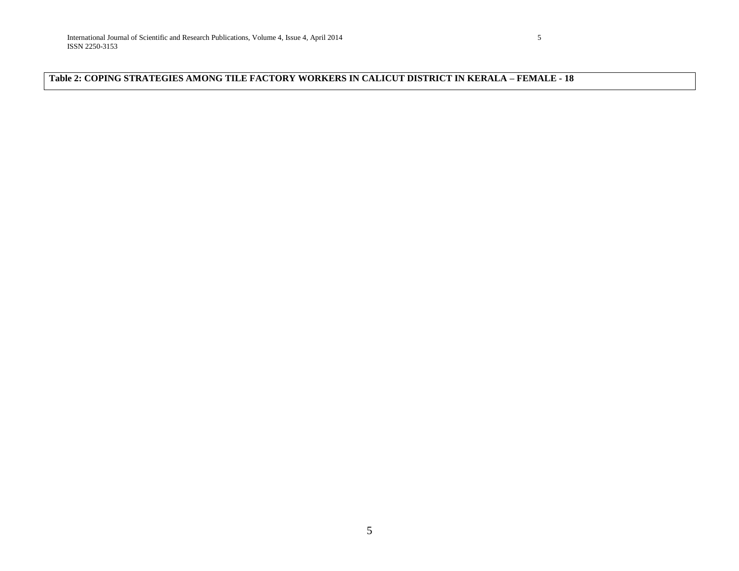## **Table 2: COPING STRATEGIES AMONG TILE FACTORY WORKERS IN CALICUT DISTRICT IN KERALA – FEMALE - 18**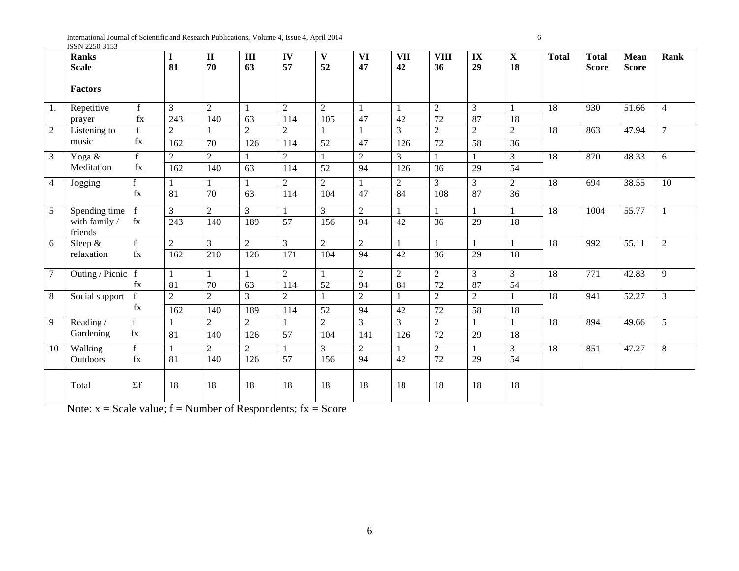International Journal of Scientific and Research Publications, Volume 4, Issue 4, April 2014 6 ISSN 2250-3153

|                | <b>Ranks</b><br><b>Scale</b>          |              | 1<br>81          | $\mathbf{I}$<br>70 | III<br>63       | IV<br>57        | V<br>52         | VI<br>47       | <b>VII</b><br>42 | <b>VIII</b><br>36 | IX<br>29       | $\mathbf X$<br>18 | <b>Total</b>    | <b>Total</b><br><b>Score</b> | <b>Mean</b><br><b>Score</b> | Rank           |
|----------------|---------------------------------------|--------------|------------------|--------------------|-----------------|-----------------|-----------------|----------------|------------------|-------------------|----------------|-------------------|-----------------|------------------------------|-----------------------------|----------------|
|                | <b>Factors</b>                        |              |                  |                    |                 |                 |                 |                |                  |                   |                |                   |                 |                              |                             |                |
| 1.             | Repetitive                            | $\mathbf f$  | 3                | $\sqrt{2}$         |                 | $\sqrt{2}$      | $\sqrt{2}$      | $\mathbf{1}$   |                  | $\overline{c}$    | 3              | $\mathbf{1}$      | 18              | 930                          | 51.66                       | $\overline{4}$ |
|                | prayer                                | $f_{X}$      | 243              | 140                | 63              | 114             | 105             | 47             | 42               | $\overline{72}$   | 87             | 18                |                 |                              |                             |                |
| $\overline{2}$ | Listening to<br>music                 | $\mathbf f$  | $\overline{2}$   |                    | $\overline{2}$  | $\overline{2}$  |                 | $\mathbf{1}$   | $\overline{3}$   | $\overline{2}$    | $\sqrt{2}$     | $\overline{2}$    | 18              | 863                          | 47.94                       | $\overline{7}$ |
|                |                                       | fx           | 162              | 70                 | 126             | 114             | 52              | 47             | 126              | 72                | 58             | 36                |                 |                              |                             |                |
| 3              | Yoga &                                | f            | $\overline{2}$   | $\overline{2}$     |                 | $\overline{2}$  |                 | $\overline{2}$ | 3                |                   |                | 3                 | 18              | 870                          | 48.33                       | 6              |
|                | Meditation                            | fx           | $\overline{162}$ | $\overline{140}$   | $\overline{63}$ | 114             | $\overline{52}$ | 94             | $\frac{126}{2}$  | $\overline{36}$   | 29             | $\overline{54}$   |                 |                              |                             |                |
| $\overline{4}$ | Jogging                               | $\mathbf f$  |                  |                    | $\mathbf{1}$    | $\overline{2}$  | $\overline{2}$  | $\mathbf{1}$   | $\overline{2}$   | $\overline{3}$    | 3              | $\overline{2}$    | $\overline{18}$ | 694                          | 38.55                       | 10             |
|                |                                       | $f_{X}$      | 81               | 70                 | 63              | 114             | 104             | 47             | 84               | 108               | 87             | $\overline{36}$   |                 |                              |                             |                |
| 5 <sup>5</sup> | Spending time                         | $\mathbf{f}$ | 3                | $\overline{2}$     | $\overline{3}$  |                 | 3               | $\overline{2}$ |                  |                   |                | $\mathbf{1}$      | $\overline{18}$ | 1004                         | 55.77                       | $\mathbf{1}$   |
|                | with family /<br>friends              | fx           | 243              | 140                | 189             | $\overline{57}$ | 156             | 94             | 42               | $\overline{36}$   | 29             | 18                |                 |                              |                             |                |
| 6              | Sleep &                               | f            | $\overline{2}$   | $\overline{3}$     | $\overline{2}$  | $\overline{3}$  | $\overline{2}$  | $\overline{2}$ | 1                |                   |                | $\mathbf{1}$      | 18              | 992                          | 55.11                       | $\overline{2}$ |
|                | relaxation                            | $\rm{fx}$    | 162              | 210                | 126             | 171             | 104             | 94             | 42               | $\overline{36}$   | 29             | 18                |                 |                              |                             |                |
| $\tau$         | Outing / $\overline{\text{Picnic}}$ f |              | $\overline{1}$   |                    |                 | $\overline{2}$  |                 | $\overline{2}$ | 2                | $\overline{2}$    | 3              | $\overline{3}$    | 18              | 771                          | 42.83                       | 9              |
|                |                                       | fx           | 81               | 70                 | 63              | 114             | 52              | 94             | 84               | $\overline{72}$   | 87             | 54                |                 |                              |                             |                |
| 8              | Social support                        |              | $\overline{2}$   | $\overline{2}$     | 3               | $\overline{2}$  |                 | $\overline{2}$ |                  | $\overline{2}$    | $\overline{2}$ | $\mathbf{1}$      | 18              | 941                          | 52.27                       | $\overline{3}$ |
|                |                                       | $f_{X}$      | 162              | 140                | 189             | 114             | 52              | 94             | 42               | 72                | 58             | 18                |                 |                              |                             |                |
| 9              | Reading /                             | $\mathbf f$  |                  | $\overline{2}$     | $\overline{2}$  | 1               | $\overline{2}$  | 3              | $\overline{3}$   | $\overline{2}$    |                | $\mathbf{1}$      | 18              | 894                          | 49.66                       | 5              |
|                | Gardening                             | $f_{X}$      | 81               | 140                | 126             | 57              | 104             | 141            | 126              | 72                | 29             | 18                |                 |                              |                             |                |
| 10             | Walking                               | $\mathbf f$  | $\overline{1}$   | $\overline{2}$     | $\overline{2}$  |                 | 3               | 2              |                  | $\overline{2}$    |                | 3                 | 18              | 851                          | 47.27                       | 8              |
|                | Outdoors                              | $\rm{fx}$    | 81               | 140                | 126             | 57              | 156             | 94             | 42               | 72                | 29             | 54                |                 |                              |                             |                |
|                | Total                                 | $\Sigma f$   | 18               | 18                 | 18              | 18              | 18              | 18             | 18               | 18                | 18             | 18                |                 |                              |                             |                |

Note:  $x =$  Scale value;  $f =$  Number of Respondents;  $fx =$  Score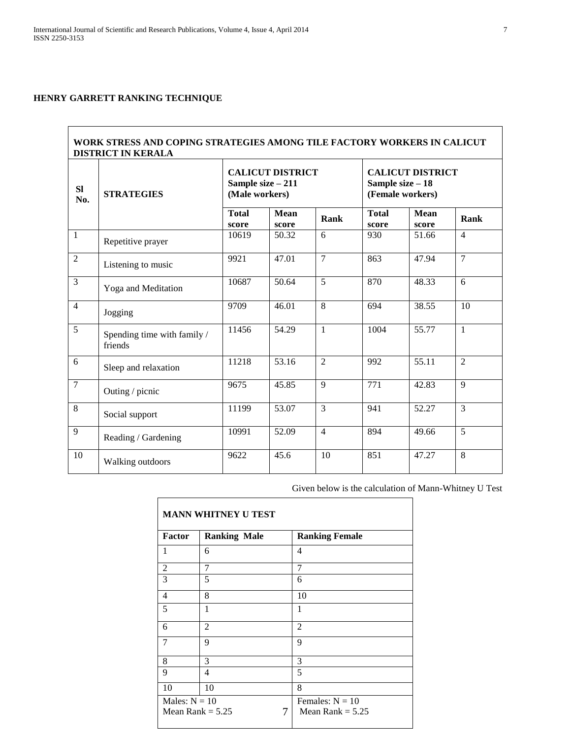## **HENRY GARRETT RANKING TECHNIQUE**

| SI<br>No.      | <b>STRATEGIES</b>                      | (Male workers)        | <b>CALICUT DISTRICT</b><br>Sample size $-211$ |                | <b>CALICUT DISTRICT</b><br>Sample size - 18<br>(Female workers) |                      |                |  |
|----------------|----------------------------------------|-----------------------|-----------------------------------------------|----------------|-----------------------------------------------------------------|----------------------|----------------|--|
|                |                                        | <b>Total</b><br>score | <b>Mean</b><br>score                          | Rank           | <b>Total</b><br>score                                           | <b>Mean</b><br>score | Rank           |  |
| $\mathbf{1}$   | Repetitive prayer                      | 10619                 | 50.32                                         | 6              | 930                                                             | 51.66                | $\overline{4}$ |  |
| $\overline{2}$ | Listening to music                     | 9921                  | 47.01                                         | $\overline{7}$ | 863                                                             | 47.94                | $\tau$         |  |
| $\overline{3}$ | Yoga and Meditation                    | 10687                 | 50.64                                         | $\overline{5}$ | 870                                                             | 48.33                | 6              |  |
| $\overline{4}$ | Jogging                                | 9709                  | 46.01                                         | 8              | 694                                                             | 38.55                | 10             |  |
| 5              | Spending time with family /<br>friends | 11456                 | 54.29                                         | $\mathbf{1}$   | 1004                                                            | 55.77                | $\mathbf{1}$   |  |
| 6              | Sleep and relaxation                   | 11218                 | 53.16                                         | $\overline{2}$ | 992                                                             | 55.11                | $\overline{2}$ |  |
| $\overline{7}$ | Outing / picnic                        | 9675                  | 45.85                                         | 9              | 771                                                             | 42.83                | 9              |  |
| 8              | Social support                         | 11199                 | 53.07                                         | $\overline{3}$ | 941                                                             | 52.27                | $\overline{3}$ |  |
| 9              | Reading / Gardening                    | 10991                 | 52.09                                         | $\overline{4}$ | 894                                                             | 49.66                | $\overline{5}$ |  |
| 10             | Walking outdoors                       | 9622                  | 45.6                                          | 10             | 851                                                             | 47.27                | 8              |  |

Given below is the calculation of Mann-Whitney U Test

 $\overline{\mathbf{1}}$ 

| <b>MANN WHITNEY U TEST</b>            |                     |                                         |  |  |  |  |  |  |
|---------------------------------------|---------------------|-----------------------------------------|--|--|--|--|--|--|
| <b>Factor</b>                         | <b>Ranking Male</b> | <b>Ranking Female</b>                   |  |  |  |  |  |  |
| 1                                     | 6                   | 4                                       |  |  |  |  |  |  |
| $\overline{c}$                        | 7                   | 7                                       |  |  |  |  |  |  |
| 3                                     | 5                   | 6                                       |  |  |  |  |  |  |
| $\overline{4}$                        | 8                   | 10                                      |  |  |  |  |  |  |
| 5                                     | 1                   | 1                                       |  |  |  |  |  |  |
| 6                                     | 2                   | 2                                       |  |  |  |  |  |  |
| $\overline{7}$                        | 9                   | 9                                       |  |  |  |  |  |  |
| 8                                     | 3                   | 3                                       |  |  |  |  |  |  |
| 9                                     | 4                   | 5                                       |  |  |  |  |  |  |
| 10                                    | 10                  | 8                                       |  |  |  |  |  |  |
| Males: $N = 10$<br>Mean Rank $= 5.25$ | 7                   | Females: $N = 10$<br>Mean Rank $= 5.25$ |  |  |  |  |  |  |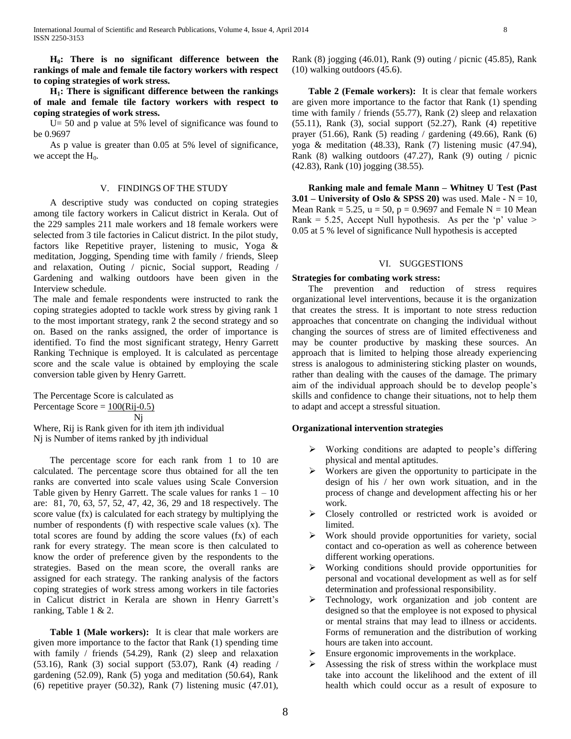**H0: There is no significant difference between the rankings of male and female tile factory workers with respect to coping strategies of work stress.**

 **H1: There is significant difference between the rankings of male and female tile factory workers with respect to coping strategies of work stress.** 

U= 50 and p value at 5% level of significance was found to be 0.9697

As p value is greater than 0.05 at 5% level of significance, we accept the  $H_0$ .

## V. FINDINGS OF THE STUDY

A descriptive study was conducted on coping strategies among tile factory workers in Calicut district in Kerala. Out of the 229 samples 211 male workers and 18 female workers were selected from 3 tile factories in Calicut district. In the pilot study, factors like Repetitive prayer, listening to music, Yoga & meditation, Jogging, Spending time with family / friends, Sleep and relaxation, Outing / picnic, Social support, Reading / Gardening and walking outdoors have been given in the Interview schedule.

The male and female respondents were instructed to rank the coping strategies adopted to tackle work stress by giving rank 1 to the most important strategy, rank 2 the second strategy and so on. Based on the ranks assigned, the order of importance is identified. To find the most significant strategy, Henry Garrett Ranking Technique is employed. It is calculated as percentage score and the scale value is obtained by employing the scale conversion table given by Henry Garrett.

The Percentage Score is calculated as Percentage Score  $= 100(Ri-0.5)$ Nj

Where, Rij is Rank given for ith item jth individual Nj is Number of items ranked by jth individual

The percentage score for each rank from 1 to 10 are calculated. The percentage score thus obtained for all the ten ranks are converted into scale values using Scale Conversion Table given by Henry Garrett. The scale values for ranks  $1 - 10$ are: 81, 70, 63, 57, 52, 47, 42, 36, 29 and 18 respectively. The score value (fx) is calculated for each strategy by multiplying the number of respondents (f) with respective scale values (x). The total scores are found by adding the score values (fx) of each rank for every strategy. The mean score is then calculated to know the order of preference given by the respondents to the strategies. Based on the mean score, the overall ranks are assigned for each strategy. The ranking analysis of the factors coping strategies of work stress among workers in tile factories in Calicut district in Kerala are shown in Henry Garrett's ranking, Table 1 & 2.

 **Table 1 (Male workers):** It is clear that male workers are given more importance to the factor that Rank (1) spending time with family / friends (54.29), Rank (2) sleep and relaxation (53.16), Rank (3) social support (53.07), Rank (4) reading / gardening (52.09), Rank (5) yoga and meditation (50.64), Rank (6) repetitive prayer (50.32), Rank (7) listening music (47.01), Rank (8) jogging (46.01), Rank (9) outing / picnic (45.85), Rank (10) walking outdoors (45.6).

 **Table 2 (Female workers):** It is clear that female workers are given more importance to the factor that Rank (1) spending time with family / friends (55.77), Rank (2) sleep and relaxation (55.11), Rank (3), social support (52.27), Rank (4) repetitive prayer (51.66), Rank (5) reading / gardening (49.66), Rank (6) yoga & meditation (48.33), Rank (7) listening music (47.94), Rank (8) walking outdoors (47.27), Rank (9) outing / picnic (42.83), Rank (10) jogging (38.55).

 **Ranking male and female Mann – Whitney U Test (Past 3.01 – University of Oslo & SPSS 20)** was used. Male -  $N = 10$ , Mean Rank =  $5.25$ ,  $u = 50$ ,  $p = 0.9697$  and Female N = 10 Mean Rank = 5.25, Accept Null hypothesis. As per the 'p' value > 0.05 at 5 % level of significance Null hypothesis is accepted

#### VI. SUGGESTIONS

#### **Strategies for combating work stress:**

The prevention and reduction of stress requires organizational level interventions, because it is the organization that creates the stress. It is important to note stress reduction approaches that concentrate on changing the individual without changing the sources of stress are of limited effectiveness and may be counter productive by masking these sources. An approach that is limited to helping those already experiencing stress is analogous to administering sticking plaster on wounds, rather than dealing with the causes of the damage. The primary aim of the individual approach should be to develop people's skills and confidence to change their situations, not to help them to adapt and accept a stressful situation.

#### **Organizational intervention strategies**

- $\triangleright$  Working conditions are adapted to people's differing physical and mental aptitudes.
- $\triangleright$  Workers are given the opportunity to participate in the design of his / her own work situation, and in the process of change and development affecting his or her work.
- Closely controlled or restricted work is avoided or limited.
- $\triangleright$  Work should provide opportunities for variety, social contact and co-operation as well as coherence between different working operations.
- Working conditions should provide opportunities for personal and vocational development as well as for self determination and professional responsibility.
- > Technology, work organization and job content are designed so that the employee is not exposed to physical or mental strains that may lead to illness or accidents. Forms of remuneration and the distribution of working hours are taken into account.
- $\triangleright$  Ensure ergonomic improvements in the workplace.
- $\triangleright$  Assessing the risk of stress within the workplace must take into account the likelihood and the extent of ill health which could occur as a result of exposure to